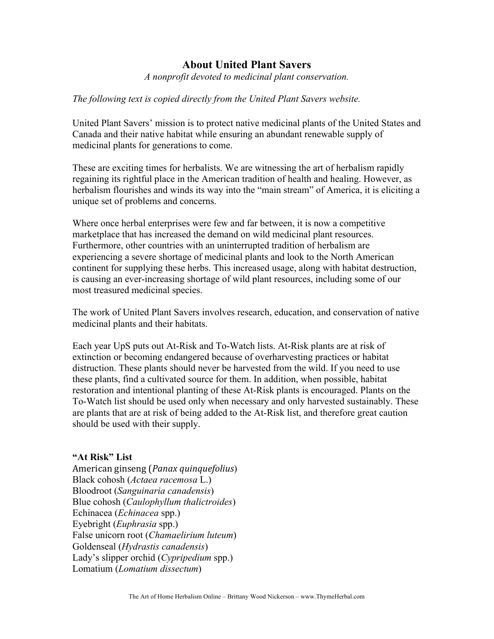## **About United Plant Savers**

*A nonprofit devoted to medicinal plant conservation.* 

## *The following text is copied directly from the United Plant Savers website.*

United Plant Savers' mission is to protect native medicinal plants of the United States and Canada and their native habitat while ensuring an abundant renewable supply of medicinal plants for generations to come.

These are exciting times for herbalists. We are witnessing the art of herbalism rapidly regaining its rightful place in the American tradition of health and healing. However, as herbalism flourishes and winds its way into the "main stream" of America, it is eliciting a unique set of problems and concerns.

Where once herbal enterprises were few and far between, it is now a competitive marketplace that has increased the demand on wild medicinal plant resources. Furthermore, other countries with an uninterrupted tradition of herbalism are experiencing a severe shortage of medicinal plants and look to the North American continent for supplying these herbs. This increased usage, along with habitat destruction, is causing an ever-increasing shortage of wild plant resources, including some of our most treasured medicinal species.

The work of United Plant Savers involves research, education, and conservation of native medicinal plants and their habitats.

Each year UpS puts out At-Risk and To-Watch lists. At-Risk plants are at risk of extinction or becoming endangered because of overharvesting practices or habitat distruction. These plants should never be harvested from the wild. If you need to use these plants, find a cultivated source for them. In addition, when possible, habitat restoration and intentional planting of these At-Risk plants is encouraged. Plants on the To-Watch list should be used only when necessary and only harvested sustainably. These are plants that are at risk of being added to the At-Risk list, and therefore great caution should be used with their supply.

## **"At Risk" List**

American ginseng (*Panax quinquefolius*) Black cohosh (*Actaea racemosa* L.) Bloodroot (*Sanguinaria canadensis*) Blue cohosh (*Caulophyllum thalictroides*) Echinacea (*Echinacea* spp.) Eyebright (*Euphrasia* spp.) False unicorn root (*Chamaelirium luteum*) Goldenseal (*Hydrastis canadensis*) Lady's slipper orchid (*Cypripedium* spp.) Lomatium (*Lomatium dissectum*)